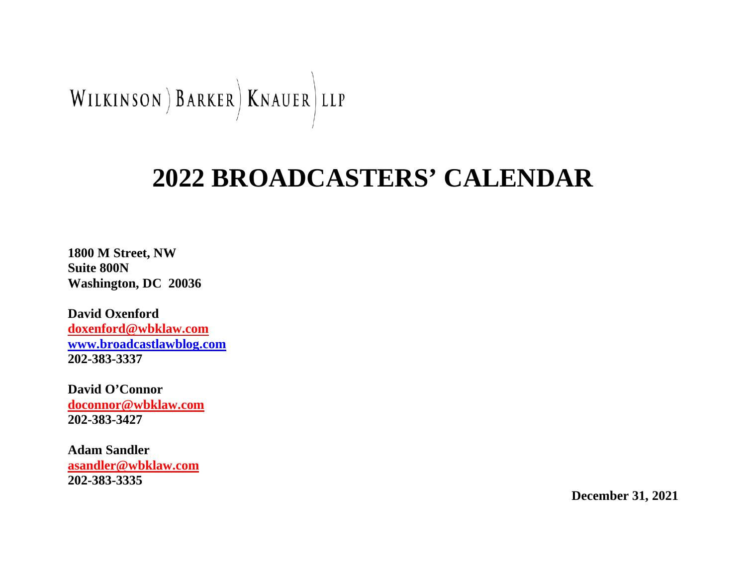

# **2022 BROADCASTERS' CALENDAR**

**1800 M Street, NW Suite 800N Washington, DC 20036**

**David Oxenford [doxenford@wbklaw.com](mailto:doxenford@wbklaw.com) [www.broadcastlawblog.com](http://www.broadcastlawblog.com/) 202-383-3337**

**David O'Connor [doconnor@wbklaw.com](mailto:doconnor@wbklaw.com) 202-383-3427**

**Adam Sandler [asandler@wbklaw.com](mailto:asandler@wbklaw.com) 202-383-3335**

**December 31, 2021**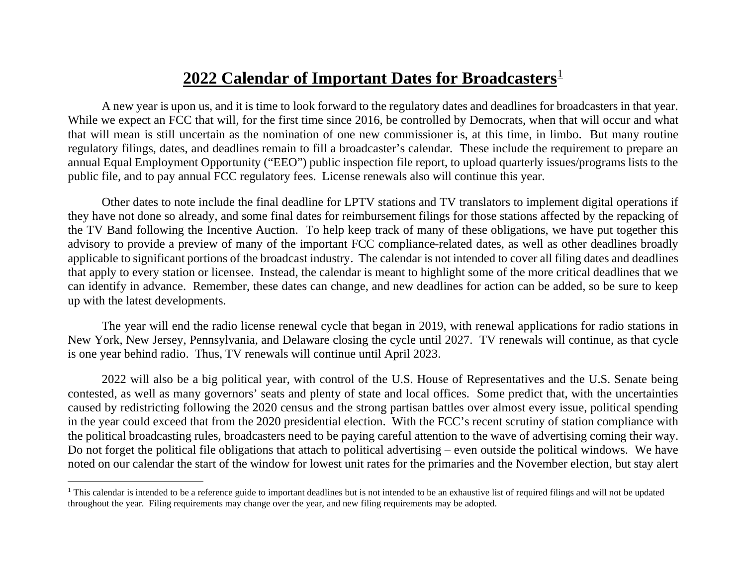#### <span id="page-1-0"></span>**2022 Calendar of Important Dates for Broadcasters**<sup>[1](#page-1-0)</sup>

A new year is upon us, and it is time to look forward to the regulatory dates and deadlines for broadcasters in that year. While we expect an FCC that will, for the first time since 2016, be controlled by Democrats, when that will occur and what that will mean is still uncertain as the nomination of one new commissioner is, at this time, in limbo. But many routine regulatory filings, dates, and deadlines remain to fill a broadcaster's calendar. These include the requirement to prepare an annual Equal Employment Opportunity ("EEO") public inspection file report, to upload quarterly issues/programs lists to the public file, and to pay annual FCC regulatory fees. License renewals also will continue this year.

Other dates to note include the final deadline for LPTV stations and TV translators to implement digital operations if they have not done so already, and some final dates for reimbursement filings for those stations affected by the repacking of the TV Band following the Incentive Auction. To help keep track of many of these obligations, we have put together this advisory to provide a preview of many of the important FCC compliance-related dates, as well as other deadlines broadly applicable to significant portions of the broadcast industry. The calendar is not intended to cover all filing dates and deadlines that apply to every station or licensee. Instead, the calendar is meant to highlight some of the more critical deadlines that we can identify in advance. Remember, these dates can change, and new deadlines for action can be added, so be sure to keep up with the latest developments.

The year will end the radio license renewal cycle that began in 2019, with renewal applications for radio stations in New York, New Jersey, Pennsylvania, and Delaware closing the cycle until 2027. TV renewals will continue, as that cycle is one year behind radio. Thus, TV renewals will continue until April 2023.

2022 will also be a big political year, with control of the U.S. House of Representatives and the U.S. Senate being contested, as well as many governors' seats and plenty of state and local offices. Some predict that, with the uncertainties caused by redistricting following the 2020 census and the strong partisan battles over almost every issue, political spending in the year could exceed that from the 2020 presidential election. With the FCC's recent scrutiny of station compliance with the political broadcasting rules, broadcasters need to be paying careful attention to the wave of advertising coming their way. Do not forget the political file obligations that attach to political advertising – even outside the political windows. We have noted on our calendar the start of the window for lowest unit rates for the primaries and the November election, but stay alert

<sup>&</sup>lt;sup>1</sup> This calendar is intended to be a reference guide to important deadlines but is not intended to be an exhaustive list of required filings and will not be updated throughout the year. Filing requirements may change over the year, and new filing requirements may be adopted.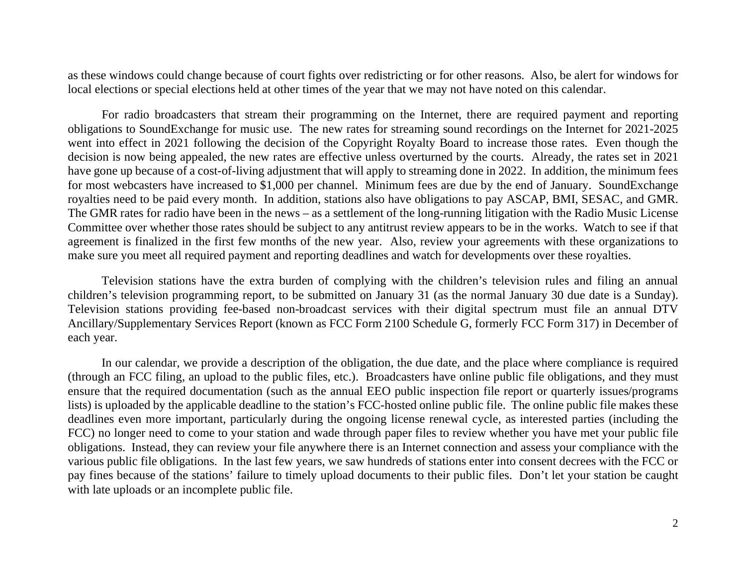as these windows could change because of court fights over redistricting or for other reasons. Also, be alert for windows for local elections or special elections held at other times of the year that we may not have noted on this calendar.

For radio broadcasters that stream their programming on the Internet, there are required payment and reporting obligations to SoundExchange for music use. The new rates for streaming sound recordings on the Internet for 2021-2025 went into effect in 2021 following the decision of the Copyright Royalty Board to increase those rates. Even though the decision is now being appealed, the new rates are effective unless overturned by the courts. Already, the rates set in 2021 have gone up because of a cost-of-living adjustment that will apply to streaming done in 2022. In addition, the minimum fees for most webcasters have increased to \$1,000 per channel. Minimum fees are due by the end of January. SoundExchange royalties need to be paid every month. In addition, stations also have obligations to pay ASCAP, BMI, SESAC, and GMR. The GMR rates for radio have been in the news – as a settlement of the long-running litigation with the Radio Music License Committee over whether those rates should be subject to any antitrust review appears to be in the works. Watch to see if that agreement is finalized in the first few months of the new year. Also, review your agreements with these organizations to make sure you meet all required payment and reporting deadlines and watch for developments over these royalties.

Television stations have the extra burden of complying with the children's television rules and filing an annual children's television programming report, to be submitted on January 31 (as the normal January 30 due date is a Sunday). Television stations providing fee-based non-broadcast services with their digital spectrum must file an annual DTV Ancillary/Supplementary Services Report (known as FCC Form 2100 Schedule G, formerly FCC Form 317) in December of each year.

In our calendar, we provide a description of the obligation, the due date, and the place where compliance is required (through an FCC filing, an upload to the public files, etc.). Broadcasters have online public file obligations, and they must ensure that the required documentation (such as the annual EEO public inspection file report or quarterly issues/programs lists) is uploaded by the applicable deadline to the station's FCC-hosted online public file. The online public file makes these deadlines even more important, particularly during the ongoing license renewal cycle, as interested parties (including the FCC) no longer need to come to your station and wade through paper files to review whether you have met your public file obligations. Instead, they can review your file anywhere there is an Internet connection and assess your compliance with the various public file obligations. In the last few years, we saw hundreds of stations enter into consent decrees with the FCC or pay fines because of the stations' failure to timely upload documents to their public files. Don't let your station be caught with late uploads or an incomplete public file.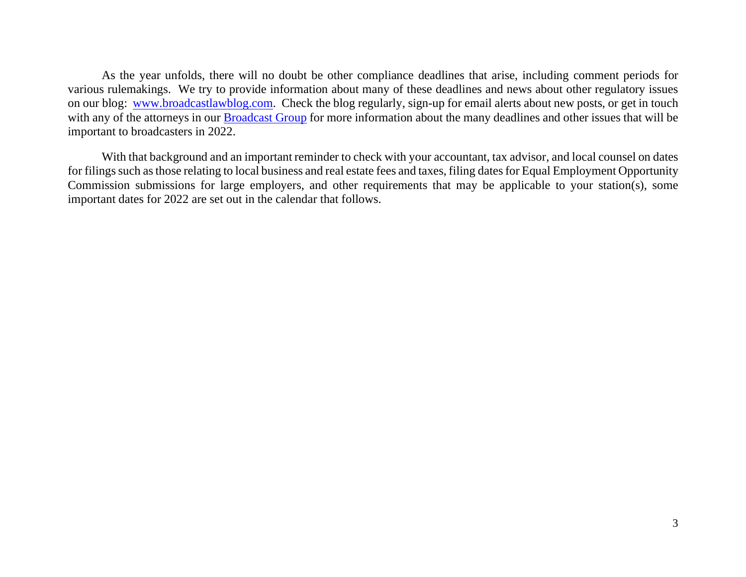As the year unfolds, there will no doubt be other compliance deadlines that arise, including comment periods for various rulemakings. We try to provide information about many of these deadlines and news about other regulatory issues on our blog: [www.broadcastlawblog.com.](http://www.broadcastlawblog.com/) Check the blog regularly, sign-up for email alerts about new posts, or get in touch with any of the attorneys in our [Broadcast Group](https://www.wbklaw.com/practices/telecommunications-and-media/broadcast-radio-and-television/) for more information about the many deadlines and other issues that will be important to broadcasters in 2022.

With that background and an important reminder to check with your accountant, tax advisor, and local counsel on dates for filings such as those relating to local business and real estate fees and taxes, filing dates for Equal Employment Opportunity Commission submissions for large employers, and other requirements that may be applicable to your station(s), some important dates for 2022 are set out in the calendar that follows.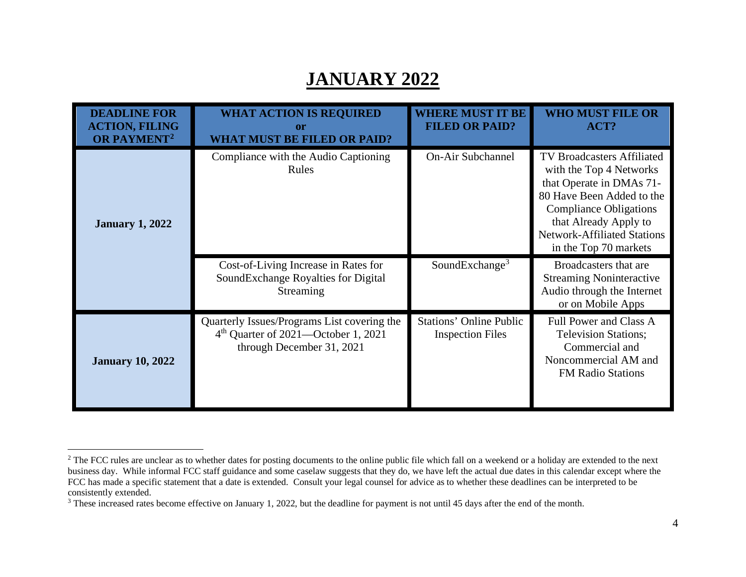#### <span id="page-4-1"></span><span id="page-4-0"></span>**JANUARY 2022**

| <b>DEADLINE FOR</b><br><b>ACTION, FILING</b><br>OR PAYMENT <sup>2</sup> | <b>WHAT ACTION IS REQUIRED</b><br><b>or</b><br><b>WHAT MUST BE FILED OR PAID?</b>                                           | <b>WHERE MUST IT BE</b><br><b>FILED OR PAID?</b>          | <b>WHO MUST FILE OR</b><br>ACT?                                                                                                                                                                                                                |
|-------------------------------------------------------------------------|-----------------------------------------------------------------------------------------------------------------------------|-----------------------------------------------------------|------------------------------------------------------------------------------------------------------------------------------------------------------------------------------------------------------------------------------------------------|
| <b>January 1, 2022</b>                                                  | Compliance with the Audio Captioning<br>Rules                                                                               | <b>On-Air Subchannel</b>                                  | <b>TV Broadcasters Affiliated</b><br>with the Top 4 Networks<br>that Operate in DMAs 71-<br>80 Have Been Added to the<br><b>Compliance Obligations</b><br>that Already Apply to<br><b>Network-Affiliated Stations</b><br>in the Top 70 markets |
|                                                                         | Cost-of-Living Increase in Rates for<br>SoundExchange Royalties for Digital<br>Streaming                                    | SoundExchange <sup>3</sup>                                | Broadcasters that are<br><b>Streaming Noninteractive</b><br>Audio through the Internet<br>or on Mobile Apps                                                                                                                                    |
| <b>January 10, 2022</b>                                                 | Quarterly Issues/Programs List covering the<br>4 <sup>th</sup> Quarter of 2021—October 1, 2021<br>through December 31, 2021 | <b>Stations' Online Public</b><br><b>Inspection Files</b> | Full Power and Class A<br><b>Television Stations;</b><br>Commercial and<br>Noncommercial AM and<br><b>FM Radio Stations</b>                                                                                                                    |

<sup>&</sup>lt;sup>2</sup> The FCC rules are unclear as to whether dates for posting documents to the online public file which fall on a weekend or a holiday are extended to the next business day. While informal FCC staff guidance and some caselaw suggests that they do, we have left the actual due dates in this calendar except where the FCC has made a specific statement that a date is extended. Consult your legal counsel for advice as to whether these deadlines can be interpreted to be consistently extended.

<sup>&</sup>lt;sup>3</sup> These increased rates become effective on January 1, 2022, but the deadline for payment is not until 45 days after the end of the month.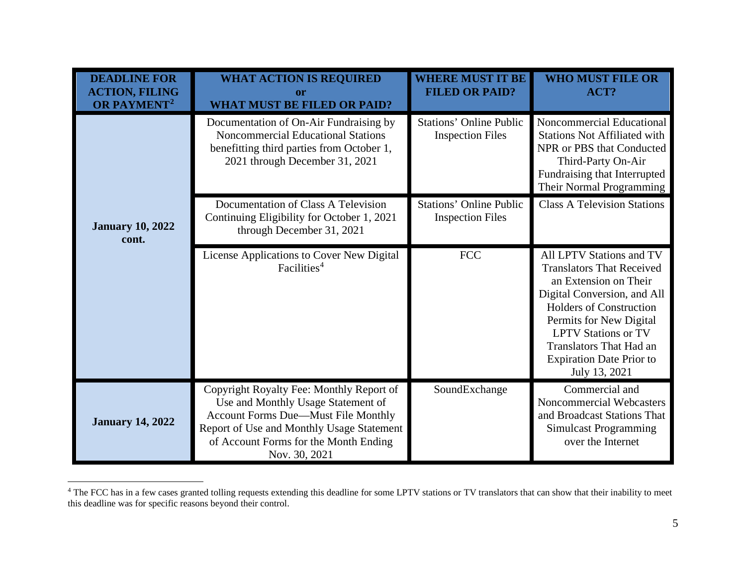<span id="page-5-0"></span>

| <b>DEADLINE FOR</b><br><b>ACTION, FILING</b><br>OR PAYMENT <sup>2</sup> | <b>WHAT ACTION IS REQUIRED</b><br>or<br><b>WHAT MUST BE FILED OR PAID?</b>                                                                                                                                                   | <b>WHERE MUST IT BE</b><br><b>FILED OR PAID?</b>          | <b>WHO MUST FILE OR</b><br>ACT?                                                                                                                                                                                                                                                                       |
|-------------------------------------------------------------------------|------------------------------------------------------------------------------------------------------------------------------------------------------------------------------------------------------------------------------|-----------------------------------------------------------|-------------------------------------------------------------------------------------------------------------------------------------------------------------------------------------------------------------------------------------------------------------------------------------------------------|
|                                                                         | Documentation of On-Air Fundraising by<br><b>Noncommercial Educational Stations</b><br>benefitting third parties from October 1,<br>2021 through December 31, 2021                                                           | <b>Stations' Online Public</b><br><b>Inspection Files</b> | Noncommercial Educational<br><b>Stations Not Affiliated with</b><br>NPR or PBS that Conducted<br>Third-Party On-Air<br>Fundraising that Interrupted<br>Their Normal Programming                                                                                                                       |
| <b>January 10, 2022</b><br>cont.                                        | Documentation of Class A Television<br>Continuing Eligibility for October 1, 2021<br>through December 31, 2021                                                                                                               | <b>Stations' Online Public</b><br><b>Inspection Files</b> | <b>Class A Television Stations</b>                                                                                                                                                                                                                                                                    |
|                                                                         | License Applications to Cover New Digital<br>Facilities <sup>4</sup>                                                                                                                                                         | <b>FCC</b>                                                | All LPTV Stations and TV<br><b>Translators That Received</b><br>an Extension on Their<br>Digital Conversion, and All<br><b>Holders of Construction</b><br>Permits for New Digital<br><b>LPTV Stations or TV</b><br><b>Translators That Had an</b><br><b>Expiration Date Prior to</b><br>July 13, 2021 |
| <b>January 14, 2022</b>                                                 | Copyright Royalty Fee: Monthly Report of<br>Use and Monthly Usage Statement of<br>Account Forms Due-Must File Monthly<br>Report of Use and Monthly Usage Statement<br>of Account Forms for the Month Ending<br>Nov. 30, 2021 | SoundExchange                                             | Commercial and<br>Noncommercial Webcasters<br>and Broadcast Stations That<br><b>Simulcast Programming</b><br>over the Internet                                                                                                                                                                        |

<sup>&</sup>lt;sup>4</sup> The FCC has in a few cases granted tolling requests extending this deadline for some LPTV stations or TV translators that can show that their inability to meet this deadline was for specific reasons beyond their control.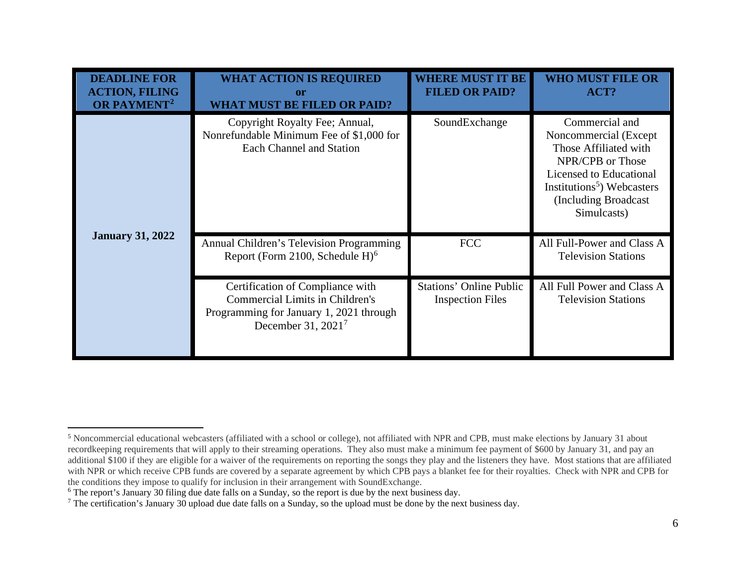<span id="page-6-2"></span><span id="page-6-1"></span><span id="page-6-0"></span>

| <b>DEADLINE FOR</b><br><b>ACTION, FILING</b><br>OR PAYMENT <sup>2</sup> | <b>WHAT ACTION IS REQUIRED</b><br>or<br><b>WHAT MUST BE FILED OR PAID?</b>                                                                    | <b>WHERE MUST IT BE</b><br><b>FILED OR PAID?</b>          | <b>WHO MUST FILE OR</b><br>ACT?                                                                                                                                                                   |
|-------------------------------------------------------------------------|-----------------------------------------------------------------------------------------------------------------------------------------------|-----------------------------------------------------------|---------------------------------------------------------------------------------------------------------------------------------------------------------------------------------------------------|
|                                                                         | Copyright Royalty Fee; Annual,<br>Nonrefundable Minimum Fee of \$1,000 for<br><b>Each Channel and Station</b>                                 | SoundExchange                                             | Commercial and<br>Noncommercial (Except<br>Those Affiliated with<br>NPR/CPB or Those<br>Licensed to Educational<br>Institutions <sup>5</sup> ) Webcasters<br>(Including Broadcast)<br>Simulcasts) |
| <b>January 31, 2022</b>                                                 | Annual Children's Television Programming<br>Report (Form 2100, Schedule $H$ ) <sup>6</sup>                                                    | <b>FCC</b>                                                | All Full-Power and Class A<br><b>Television Stations</b>                                                                                                                                          |
|                                                                         | Certification of Compliance with<br><b>Commercial Limits in Children's</b><br>Programming for January 1, 2021 through<br>December 31, $20217$ | <b>Stations' Online Public</b><br><b>Inspection Files</b> | All Full Power and Class A<br><b>Television Stations</b>                                                                                                                                          |

<sup>5</sup> Noncommercial educational webcasters (affiliated with a school or college), not affiliated with NPR and CPB, must make elections by January 31 about recordkeeping requirements that will apply to their streaming operations. They also must make a minimum fee payment of \$600 by January 31, and pay an additional \$100 if they are eligible for a waiver of the requirements on reporting the songs they play and the listeners they have. Most stations that are affiliated with NPR or which receive CPB funds are covered by a separate agreement by which CPB pays a blanket fee for their royalties. Check with NPR and CPB for the conditions they impose to qualify for inclusion in their arrangement with SoundExchange.

<sup>&</sup>lt;sup>6</sup> The report's January 30 filing due date falls on a Sunday, so the report is due by the next business day.

<sup>7</sup> The certification's January 30 upload due date falls on a Sunday, so the upload must be done by the next business day.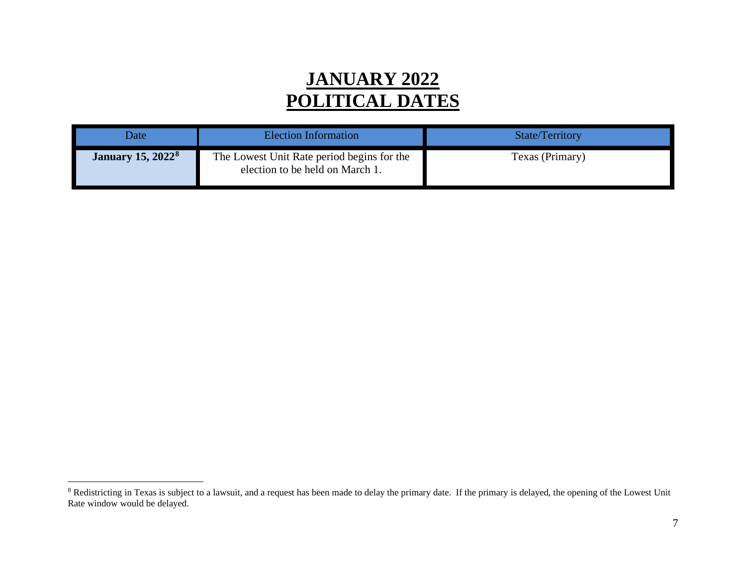### <span id="page-7-0"></span>**JANUARY 2022 POLITICAL DATES**

| Date                                | <b>Election Information</b>                                                   | <b>State/Territory</b> |
|-------------------------------------|-------------------------------------------------------------------------------|------------------------|
| <b>January 15, 2022<sup>8</sup></b> | The Lowest Unit Rate period begins for the<br>election to be held on March 1. | Texas (Primary)        |

<sup>&</sup>lt;sup>8</sup> Redistricting in Texas is subject to a lawsuit, and a request has been made to delay the primary date. If the primary is delayed, the opening of the Lowest Unit Rate window would be delayed.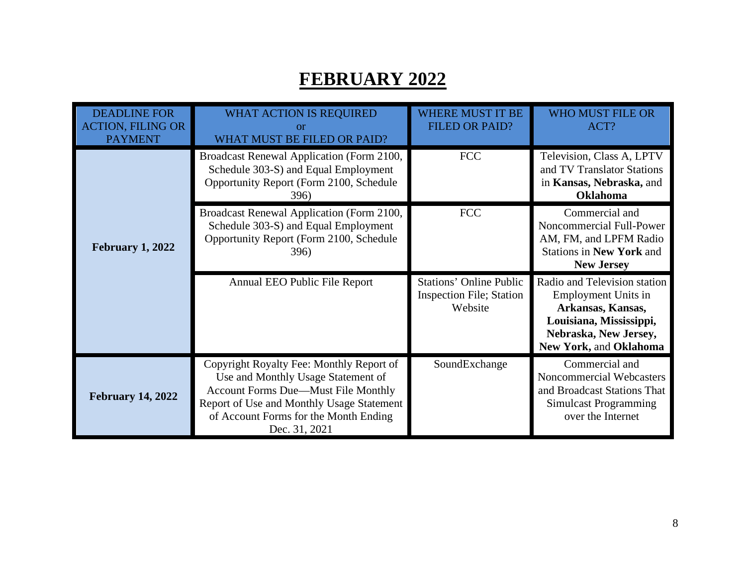### **FEBRUARY 2022**

| <b>DEADLINE FOR</b><br><b>ACTION, FILING OR</b><br><b>PAYMENT</b> | <b>WHAT ACTION IS REQUIRED</b><br>or<br>WHAT MUST BE FILED OR PAID?                                                                                                                                                                 | WHERE MUST IT BE<br><b>FILED OR PAID?</b>                                    | <b>WHO MUST FILE OR</b><br>ACT?                                                                                                                        |
|-------------------------------------------------------------------|-------------------------------------------------------------------------------------------------------------------------------------------------------------------------------------------------------------------------------------|------------------------------------------------------------------------------|--------------------------------------------------------------------------------------------------------------------------------------------------------|
|                                                                   | Broadcast Renewal Application (Form 2100,<br>Schedule 303-S) and Equal Employment<br>Opportunity Report (Form 2100, Schedule<br>396)                                                                                                | <b>FCC</b>                                                                   | Television, Class A, LPTV<br>and TV Translator Stations<br>in Kansas, Nebraska, and<br><b>Oklahoma</b>                                                 |
| <b>February 1, 2022</b>                                           | Broadcast Renewal Application (Form 2100,<br>Schedule 303-S) and Equal Employment<br>Opportunity Report (Form 2100, Schedule<br><b>396</b> )                                                                                        | <b>FCC</b>                                                                   | Commercial and<br>Noncommercial Full-Power<br>AM, FM, and LPFM Radio<br><b>Stations in New York and</b><br><b>New Jersey</b>                           |
|                                                                   | Annual EEO Public File Report                                                                                                                                                                                                       | <b>Stations' Online Public</b><br><b>Inspection File; Station</b><br>Website | Radio and Television station<br>Employment Units in<br>Arkansas, Kansas,<br>Louisiana, Mississippi,<br>Nebraska, New Jersey,<br>New York, and Oklahoma |
| <b>February 14, 2022</b>                                          | Copyright Royalty Fee: Monthly Report of<br>Use and Monthly Usage Statement of<br><b>Account Forms Due—Must File Monthly</b><br>Report of Use and Monthly Usage Statement<br>of Account Forms for the Month Ending<br>Dec. 31, 2021 | SoundExchange                                                                | Commercial and<br>Noncommercial Webcasters<br>and Broadcast Stations That<br><b>Simulcast Programming</b><br>over the Internet                         |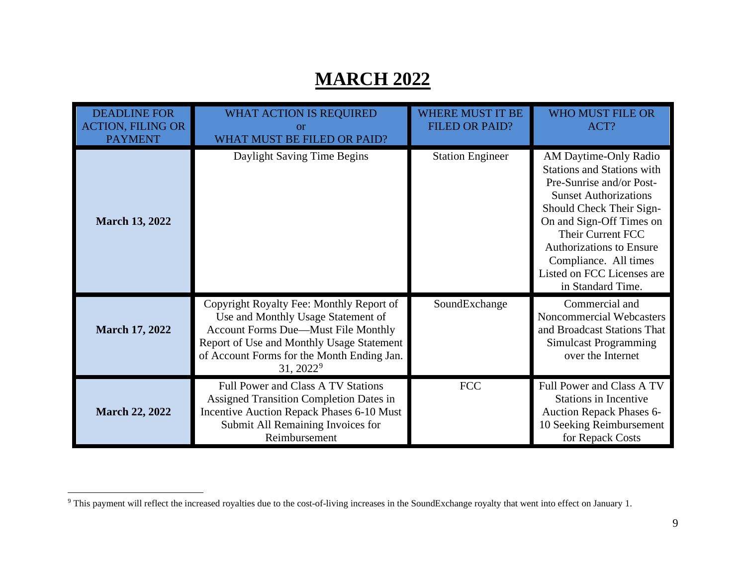### <span id="page-9-0"></span>**MARCH 2022**

| <b>DEADLINE FOR</b><br><b>ACTION, FILING OR</b><br><b>PAYMENT</b> | WHAT ACTION IS REQUIRED<br>or<br>WHAT MUST BE FILED OR PAID?                                                                                                                                                                                     | <b>WHERE MUST IT BE</b><br><b>FILED OR PAID?</b> | <b>WHO MUST FILE OR</b><br>ACT?                                                                                                                                                                                                                                                                                    |
|-------------------------------------------------------------------|--------------------------------------------------------------------------------------------------------------------------------------------------------------------------------------------------------------------------------------------------|--------------------------------------------------|--------------------------------------------------------------------------------------------------------------------------------------------------------------------------------------------------------------------------------------------------------------------------------------------------------------------|
| <b>March 13, 2022</b>                                             | Daylight Saving Time Begins                                                                                                                                                                                                                      | <b>Station Engineer</b>                          | AM Daytime-Only Radio<br><b>Stations and Stations with</b><br>Pre-Sunrise and/or Post-<br><b>Sunset Authorizations</b><br>Should Check Their Sign-<br>On and Sign-Off Times on<br>Their Current FCC<br><b>Authorizations to Ensure</b><br>Compliance. All times<br>Listed on FCC Licenses are<br>in Standard Time. |
| <b>March 17, 2022</b>                                             | Copyright Royalty Fee: Monthly Report of<br>Use and Monthly Usage Statement of<br><b>Account Forms Due—Must File Monthly</b><br>Report of Use and Monthly Usage Statement<br>of Account Forms for the Month Ending Jan.<br>31, 2022 <sup>9</sup> | SoundExchange                                    | Commercial and<br>Noncommercial Webcasters<br>and Broadcast Stations That<br>Simulcast Programming<br>over the Internet                                                                                                                                                                                            |
| <b>March 22, 2022</b>                                             | Full Power and Class A TV Stations<br><b>Assigned Transition Completion Dates in</b><br>Incentive Auction Repack Phases 6-10 Must<br>Submit All Remaining Invoices for<br>Reimbursement                                                          | <b>FCC</b>                                       | Full Power and Class A TV<br><b>Stations in Incentive</b><br><b>Auction Repack Phases 6-</b><br>10 Seeking Reimbursement<br>for Repack Costs                                                                                                                                                                       |

<sup>9</sup> This payment will reflect the increased royalties due to the cost-of-living increases in the SoundExchange royalty that went into effect on January 1.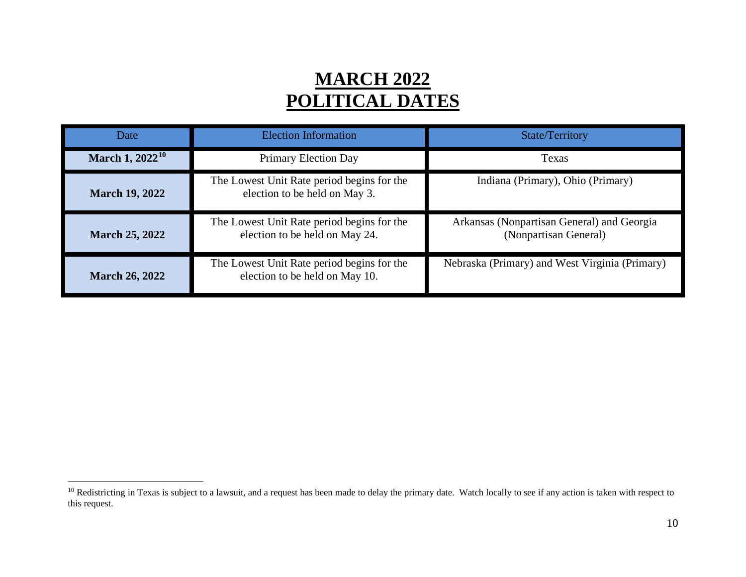### <span id="page-10-0"></span>**MARCH 2022 POLITICAL DATES**

| Date                  | <b>Election Information</b>                                                  | <b>State/Territory</b>                                              |
|-----------------------|------------------------------------------------------------------------------|---------------------------------------------------------------------|
| March 1, $2022^{10}$  | Primary Election Day                                                         | Texas                                                               |
| <b>March 19, 2022</b> | The Lowest Unit Rate period begins for the<br>election to be held on May 3.  | Indiana (Primary), Ohio (Primary)                                   |
| <b>March 25, 2022</b> | The Lowest Unit Rate period begins for the<br>election to be held on May 24. | Arkansas (Nonpartisan General) and Georgia<br>(Nonpartisan General) |
| <b>March 26, 2022</b> | The Lowest Unit Rate period begins for the<br>election to be held on May 10. | Nebraska (Primary) and West Virginia (Primary)                      |

<sup>&</sup>lt;sup>10</sup> Redistricting in Texas is subject to a lawsuit, and a request has been made to delay the primary date. Watch locally to see if any action is taken with respect to this request.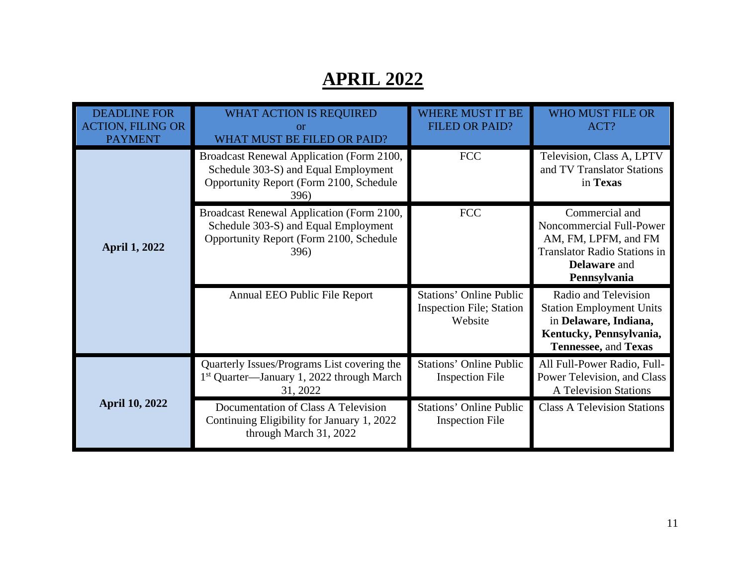## **APRIL 2022**

| <b>DEADLINE FOR</b><br><b>ACTION, FILING OR</b><br><b>PAYMENT</b> | <b>WHAT ACTION IS REQUIRED</b><br>or<br>WHAT MUST BE FILED OR PAID?                                                                  | <b>WHERE MUST IT BE</b><br><b>FILED OR PAID?</b>                             | <b>WHO MUST FILE OR</b><br>ACT?                                                                                                                  |
|-------------------------------------------------------------------|--------------------------------------------------------------------------------------------------------------------------------------|------------------------------------------------------------------------------|--------------------------------------------------------------------------------------------------------------------------------------------------|
|                                                                   | Broadcast Renewal Application (Form 2100,<br>Schedule 303-S) and Equal Employment<br>Opportunity Report (Form 2100, Schedule<br>396) | <b>FCC</b>                                                                   | Television, Class A, LPTV<br>and TV Translator Stations<br>in Texas                                                                              |
| <b>April 1, 2022</b>                                              | Broadcast Renewal Application (Form 2100,<br>Schedule 303-S) and Equal Employment<br>Opportunity Report (Form 2100, Schedule<br>396) | <b>FCC</b>                                                                   | Commercial and<br>Noncommercial Full-Power<br>AM, FM, LPFM, and FM<br><b>Translator Radio Stations in</b><br><b>Delaware</b> and<br>Pennsylvania |
|                                                                   | Annual EEO Public File Report                                                                                                        | <b>Stations' Online Public</b><br><b>Inspection File; Station</b><br>Website | Radio and Television<br><b>Station Employment Units</b><br>in Delaware, Indiana,<br>Kentucky, Pennsylvania,<br>Tennessee, and Texas              |
|                                                                   | Quarterly Issues/Programs List covering the<br>1 <sup>st</sup> Quarter—January 1, 2022 through March<br>31, 2022                     | <b>Stations' Online Public</b><br><b>Inspection File</b>                     | All Full-Power Radio, Full-<br>Power Television, and Class<br><b>A Television Stations</b>                                                       |
| <b>April 10, 2022</b>                                             | Documentation of Class A Television<br>Continuing Eligibility for January 1, 2022<br>through March 31, 2022                          | <b>Stations' Online Public</b><br><b>Inspection File</b>                     | <b>Class A Television Stations</b>                                                                                                               |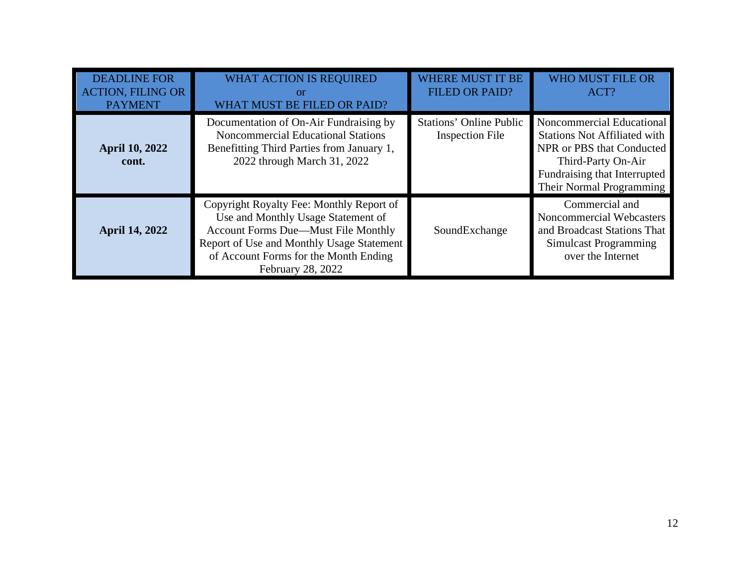| <b>DEADLINE FOR</b><br><b>ACTION, FILING OR</b><br><b>PAYMENT</b> | <b>WHAT ACTION IS REQUIRED</b><br>or<br>WHAT MUST BE FILED OR PAID?                                                                                                                                                                     | <b>WHERE MUST IT BE</b><br><b>FILED OR PAID?</b>         | <b>WHO MUST FILE OR</b><br>ACT?                                                                                                                                                 |
|-------------------------------------------------------------------|-----------------------------------------------------------------------------------------------------------------------------------------------------------------------------------------------------------------------------------------|----------------------------------------------------------|---------------------------------------------------------------------------------------------------------------------------------------------------------------------------------|
| <b>April 10, 2022</b><br>cont.                                    | Documentation of On-Air Fundraising by<br><b>Noncommercial Educational Stations</b><br>Benefitting Third Parties from January 1,<br>2022 through March 31, 2022                                                                         | <b>Stations' Online Public</b><br><b>Inspection File</b> | Noncommercial Educational<br><b>Stations Not Affiliated with</b><br>NPR or PBS that Conducted<br>Third-Party On-Air<br>Fundraising that Interrupted<br>Their Normal Programming |
| <b>April 14, 2022</b>                                             | Copyright Royalty Fee: Monthly Report of<br>Use and Monthly Usage Statement of<br><b>Account Forms Due—Must File Monthly</b><br>Report of Use and Monthly Usage Statement<br>of Account Forms for the Month Ending<br>February 28, 2022 | SoundExchange                                            | Commercial and<br>Noncommercial Webcasters<br>and Broadcast Stations That<br><b>Simulcast Programming</b><br>over the Internet                                                  |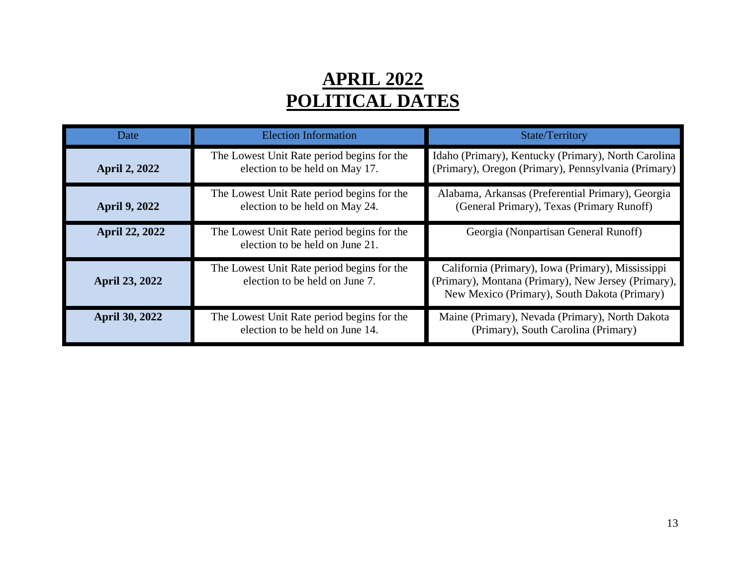### **APRIL 2022 POLITICAL DATES**

| Date                  | <b>Election Information</b>                                                   | <b>State/Territory</b>                                                                                                                                   |
|-----------------------|-------------------------------------------------------------------------------|----------------------------------------------------------------------------------------------------------------------------------------------------------|
| <b>April 2, 2022</b>  | The Lowest Unit Rate period begins for the<br>election to be held on May 17.  | Idaho (Primary), Kentucky (Primary), North Carolina<br>(Primary), Oregon (Primary), Pennsylvania (Primary)                                               |
| <b>April 9, 2022</b>  | The Lowest Unit Rate period begins for the<br>election to be held on May 24.  | Alabama, Arkansas (Preferential Primary), Georgia<br>(General Primary), Texas (Primary Runoff)                                                           |
| <b>April 22, 2022</b> | The Lowest Unit Rate period begins for the<br>election to be held on June 21. | Georgia (Nonpartisan General Runoff)                                                                                                                     |
| <b>April 23, 2022</b> | The Lowest Unit Rate period begins for the<br>election to be held on June 7.  | California (Primary), Iowa (Primary), Mississippi<br>(Primary), Montana (Primary), New Jersey (Primary),<br>New Mexico (Primary), South Dakota (Primary) |
| <b>April 30, 2022</b> | The Lowest Unit Rate period begins for the<br>election to be held on June 14. | Maine (Primary), Nevada (Primary), North Dakota<br>(Primary), South Carolina (Primary)                                                                   |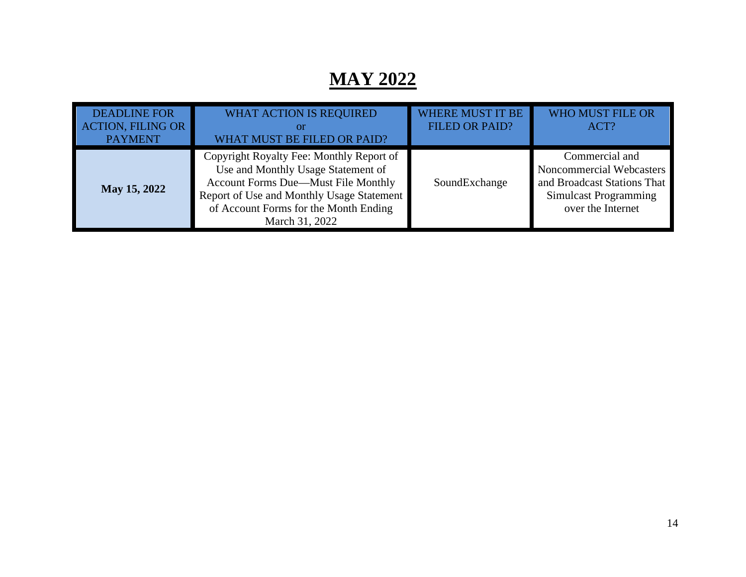## **MAY 2022**

| <b>DEADLINE FOR</b><br><b>ACTION, FILING OR</b><br><b>PAYMENT</b> | <b>WHAT ACTION IS REQUIRED</b><br><b>O</b> <sup>r</sup><br>WHAT MUST BE FILED OR PAID?                                                                                                                                        | <b>WHERE MUST IT BE</b><br><b>FILED OR PAID?</b> | <b>WHO MUST FILE OR</b><br>ACT?                                                                                                |
|-------------------------------------------------------------------|-------------------------------------------------------------------------------------------------------------------------------------------------------------------------------------------------------------------------------|--------------------------------------------------|--------------------------------------------------------------------------------------------------------------------------------|
| May 15, 2022                                                      | Copyright Royalty Fee: Monthly Report of<br>Use and Monthly Usage Statement of<br>Account Forms Due—Must File Monthly<br>Report of Use and Monthly Usage Statement<br>of Account Forms for the Month Ending<br>March 31, 2022 | SoundExchange                                    | Commercial and<br>Noncommercial Webcasters<br>and Broadcast Stations That<br><b>Simulcast Programming</b><br>over the Internet |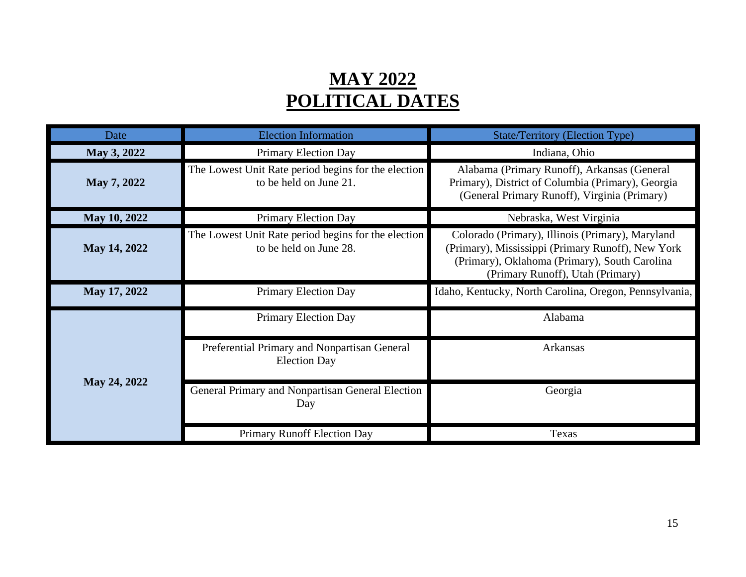### **MAY 2022 POLITICAL DATES**

| Date         | <b>Election Information</b>                                                   | <b>State/Territory (Election Type)</b>                                                                                                                                                     |  |  |
|--------------|-------------------------------------------------------------------------------|--------------------------------------------------------------------------------------------------------------------------------------------------------------------------------------------|--|--|
| May 3, 2022  | Primary Election Day                                                          | Indiana, Ohio                                                                                                                                                                              |  |  |
| May 7, 2022  | The Lowest Unit Rate period begins for the election<br>to be held on June 21. | Alabama (Primary Runoff), Arkansas (General<br>Primary), District of Columbia (Primary), Georgia<br>(General Primary Runoff), Virginia (Primary)                                           |  |  |
| May 10, 2022 | Primary Election Day                                                          | Nebraska, West Virginia                                                                                                                                                                    |  |  |
| May 14, 2022 | The Lowest Unit Rate period begins for the election<br>to be held on June 28. | Colorado (Primary), Illinois (Primary), Maryland<br>(Primary), Mississippi (Primary Runoff), New York<br>(Primary), Oklahoma (Primary), South Carolina<br>(Primary Runoff), Utah (Primary) |  |  |
| May 17, 2022 | <b>Primary Election Day</b>                                                   | Idaho, Kentucky, North Carolina, Oregon, Pennsylvania,                                                                                                                                     |  |  |
|              | Primary Election Day                                                          | Alabama                                                                                                                                                                                    |  |  |
|              | Preferential Primary and Nonpartisan General<br><b>Election Day</b>           | Arkansas                                                                                                                                                                                   |  |  |
| May 24, 2022 | General Primary and Nonpartisan General Election<br>Day                       | Georgia                                                                                                                                                                                    |  |  |
|              | Primary Runoff Election Day                                                   | Texas                                                                                                                                                                                      |  |  |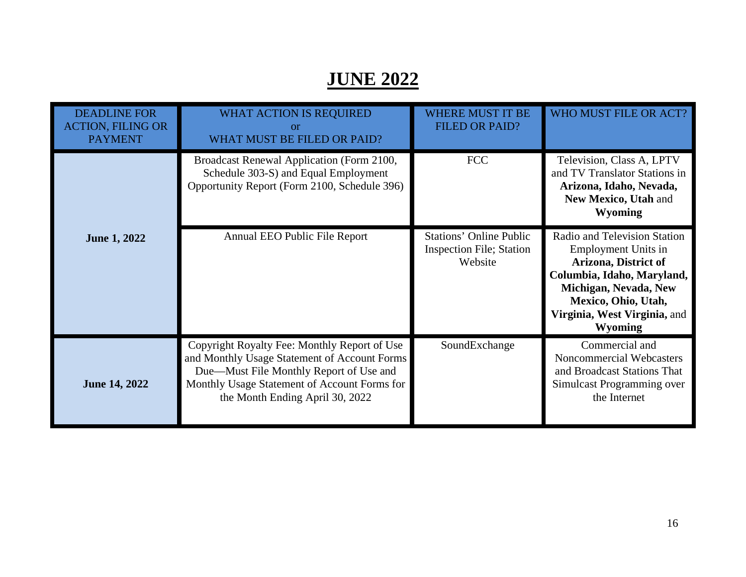## **JUNE 2022**

| <b>DEADLINE FOR</b><br><b>ACTION, FILING OR</b><br><b>PAYMENT</b> | WHAT ACTION IS REQUIRED<br><b>or</b><br>WHAT MUST BE FILED OR PAID?                                                                                                                                                        | <b>WHERE MUST IT BE</b><br><b>FILED OR PAID?</b>                             | WHO MUST FILE OR ACT?                                                                                                                                                                                       |
|-------------------------------------------------------------------|----------------------------------------------------------------------------------------------------------------------------------------------------------------------------------------------------------------------------|------------------------------------------------------------------------------|-------------------------------------------------------------------------------------------------------------------------------------------------------------------------------------------------------------|
|                                                                   | Broadcast Renewal Application (Form 2100,<br>Schedule 303-S) and Equal Employment<br>Opportunity Report (Form 2100, Schedule 396)                                                                                          | <b>FCC</b>                                                                   | Television, Class A, LPTV<br>and TV Translator Stations in<br>Arizona, Idaho, Nevada,<br>New Mexico, Utah and<br><b>Wyoming</b>                                                                             |
| <b>June 1, 2022</b>                                               | Annual EEO Public File Report                                                                                                                                                                                              | <b>Stations' Online Public</b><br><b>Inspection File; Station</b><br>Website | Radio and Television Station<br>Employment Units in<br>Arizona, District of<br>Columbia, Idaho, Maryland,<br>Michigan, Nevada, New<br>Mexico, Ohio, Utah,<br>Virginia, West Virginia, and<br><b>Wyoming</b> |
| <b>June 14, 2022</b>                                              | Copyright Royalty Fee: Monthly Report of Use<br>and Monthly Usage Statement of Account Forms<br>Due-Must File Monthly Report of Use and<br>Monthly Usage Statement of Account Forms for<br>the Month Ending April 30, 2022 | SoundExchange                                                                | Commercial and<br>Noncommercial Webcasters<br>and Broadcast Stations That<br>Simulcast Programming over<br>the Internet                                                                                     |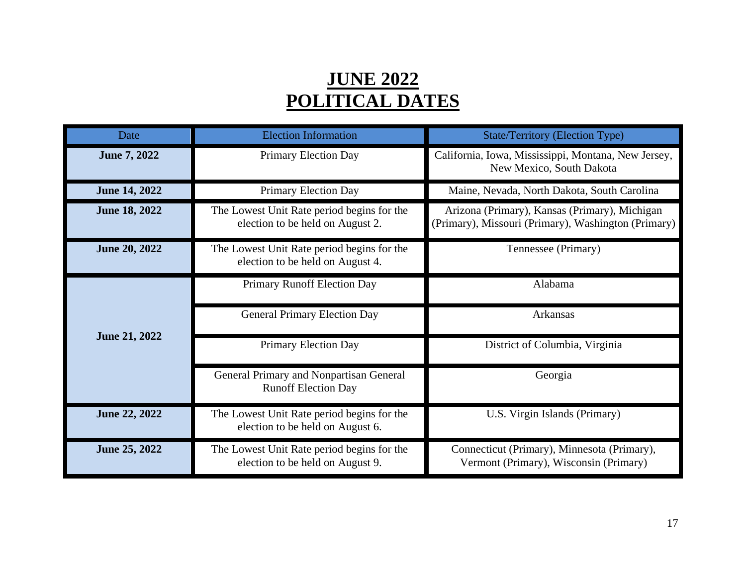### **JUNE 2022 POLITICAL DATES**

| Date                 | <b>Election Information</b>                                                    | <b>State/Territory (Election Type)</b>                                                               |  |
|----------------------|--------------------------------------------------------------------------------|------------------------------------------------------------------------------------------------------|--|
| June 7, 2022         | Primary Election Day                                                           | California, Iowa, Mississippi, Montana, New Jersey,<br>New Mexico, South Dakota                      |  |
| <b>June 14, 2022</b> | Primary Election Day                                                           | Maine, Nevada, North Dakota, South Carolina                                                          |  |
| <b>June 18, 2022</b> | The Lowest Unit Rate period begins for the<br>election to be held on August 2. | Arizona (Primary), Kansas (Primary), Michigan<br>(Primary), Missouri (Primary), Washington (Primary) |  |
| <b>June 20, 2022</b> | The Lowest Unit Rate period begins for the<br>election to be held on August 4. | Tennessee (Primary)                                                                                  |  |
|                      | Primary Runoff Election Day                                                    | Alabama                                                                                              |  |
|                      | <b>General Primary Election Day</b>                                            | Arkansas                                                                                             |  |
| <b>June 21, 2022</b> | <b>Primary Election Day</b>                                                    | District of Columbia, Virginia                                                                       |  |
|                      | General Primary and Nonpartisan General<br><b>Runoff Election Day</b>          | Georgia                                                                                              |  |
| <b>June 22, 2022</b> | The Lowest Unit Rate period begins for the<br>election to be held on August 6. | U.S. Virgin Islands (Primary)                                                                        |  |
| June 25, 2022        | The Lowest Unit Rate period begins for the<br>election to be held on August 9. | Connecticut (Primary), Minnesota (Primary),<br>Vermont (Primary), Wisconsin (Primary)                |  |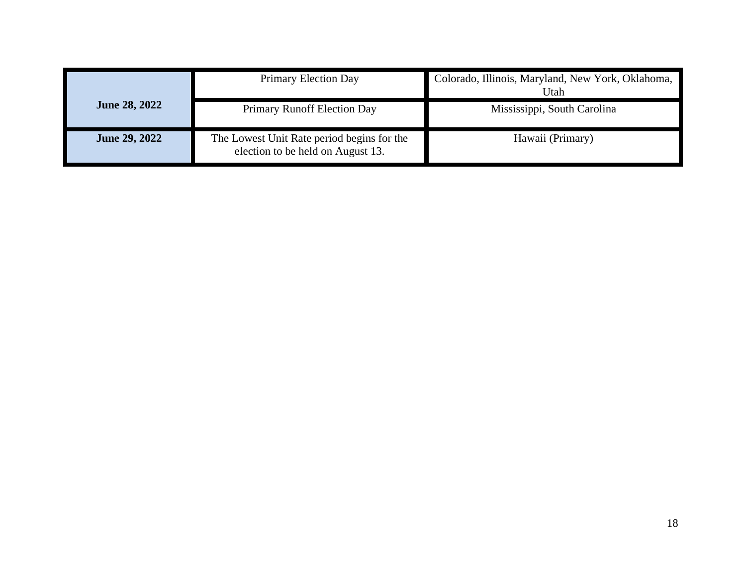|                      | Primary Election Day                                                            | Colorado, Illinois, Maryland, New York, Oklahoma,<br>Utah |
|----------------------|---------------------------------------------------------------------------------|-----------------------------------------------------------|
| <b>June 28, 2022</b> | Primary Runoff Election Day                                                     | Mississippi, South Carolina                               |
| <b>June 29, 2022</b> | The Lowest Unit Rate period begins for the<br>election to be held on August 13. | Hawaii (Primary)                                          |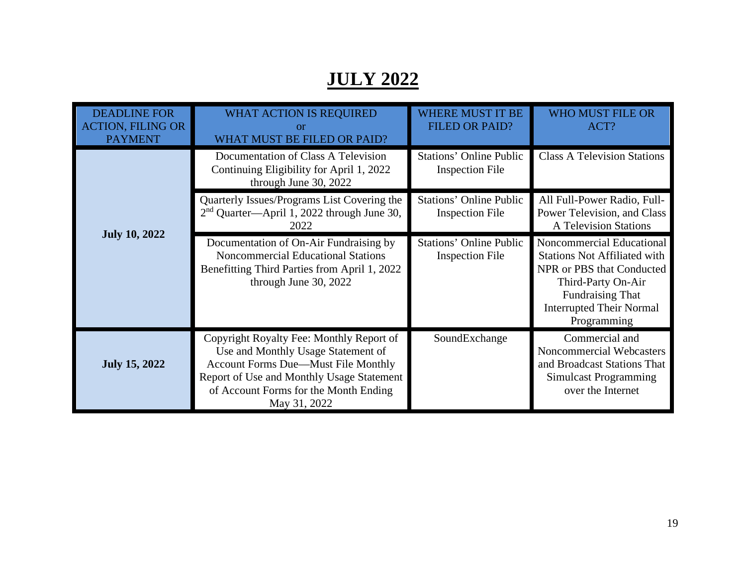## **JULY 2022**

| <b>DEADLINE FOR</b><br><b>ACTION, FILING OR</b><br><b>PAYMENT</b> | <b>WHAT ACTION IS REQUIRED</b><br>or<br>WHAT MUST BE FILED OR PAID?                                                                                                                                                                | <b>WHERE MUST IT BE</b><br><b>FILED OR PAID?</b>         | <b>WHO MUST FILE OR</b><br>ACT?                                                                                                                                                                  |
|-------------------------------------------------------------------|------------------------------------------------------------------------------------------------------------------------------------------------------------------------------------------------------------------------------------|----------------------------------------------------------|--------------------------------------------------------------------------------------------------------------------------------------------------------------------------------------------------|
|                                                                   | Documentation of Class A Television<br>Continuing Eligibility for April 1, 2022<br>through June 30, 2022                                                                                                                           | <b>Stations' Online Public</b><br><b>Inspection File</b> | <b>Class A Television Stations</b>                                                                                                                                                               |
|                                                                   | Quarterly Issues/Programs List Covering the<br>2 <sup>nd</sup> Quarter-April 1, 2022 through June 30,<br>2022                                                                                                                      | <b>Stations' Online Public</b><br><b>Inspection File</b> | All Full-Power Radio, Full-<br>Power Television, and Class<br><b>A Television Stations</b>                                                                                                       |
| <b>July 10, 2022</b>                                              | Documentation of On-Air Fundraising by<br><b>Noncommercial Educational Stations</b><br>Benefitting Third Parties from April 1, 2022<br>through June 30, 2022                                                                       | <b>Stations' Online Public</b><br><b>Inspection File</b> | Noncommercial Educational<br><b>Stations Not Affiliated with</b><br>NPR or PBS that Conducted<br>Third-Party On-Air<br><b>Fundraising That</b><br><b>Interrupted Their Normal</b><br>Programming |
| <b>July 15, 2022</b>                                              | Copyright Royalty Fee: Monthly Report of<br>Use and Monthly Usage Statement of<br><b>Account Forms Due—Must File Monthly</b><br>Report of Use and Monthly Usage Statement<br>of Account Forms for the Month Ending<br>May 31, 2022 | SoundExchange                                            | Commercial and<br><b>Noncommercial Webcasters</b><br>and Broadcast Stations That<br>Simulcast Programming<br>over the Internet                                                                   |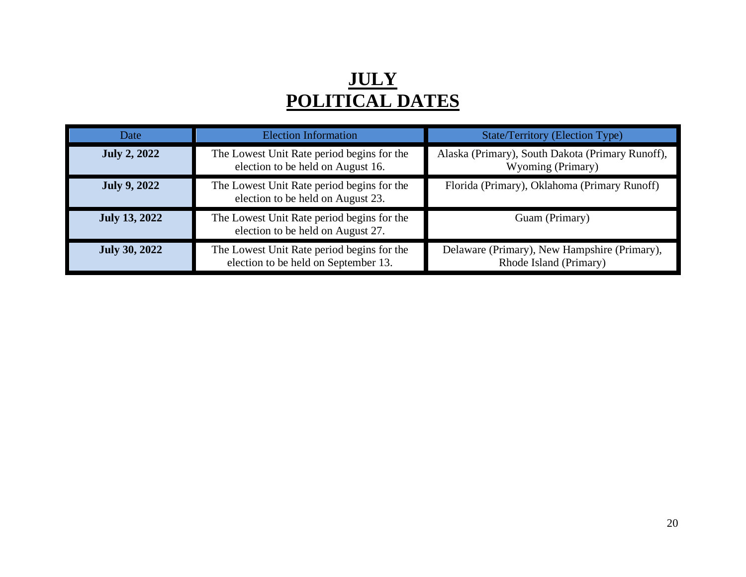### **JULY POLITICAL DATES**

| Date                 | <b>Election Information</b>                                                        | <b>State/Territory (Election Type)</b>                                 |
|----------------------|------------------------------------------------------------------------------------|------------------------------------------------------------------------|
| <b>July 2, 2022</b>  | The Lowest Unit Rate period begins for the<br>election to be held on August 16.    | Alaska (Primary), South Dakota (Primary Runoff),<br>Wyoming (Primary)  |
| <b>July 9, 2022</b>  | The Lowest Unit Rate period begins for the<br>election to be held on August 23.    | Florida (Primary), Oklahoma (Primary Runoff)                           |
| <b>July 13, 2022</b> | The Lowest Unit Rate period begins for the<br>election to be held on August 27.    | Guam (Primary)                                                         |
| <b>July 30, 2022</b> | The Lowest Unit Rate period begins for the<br>election to be held on September 13. | Delaware (Primary), New Hampshire (Primary),<br>Rhode Island (Primary) |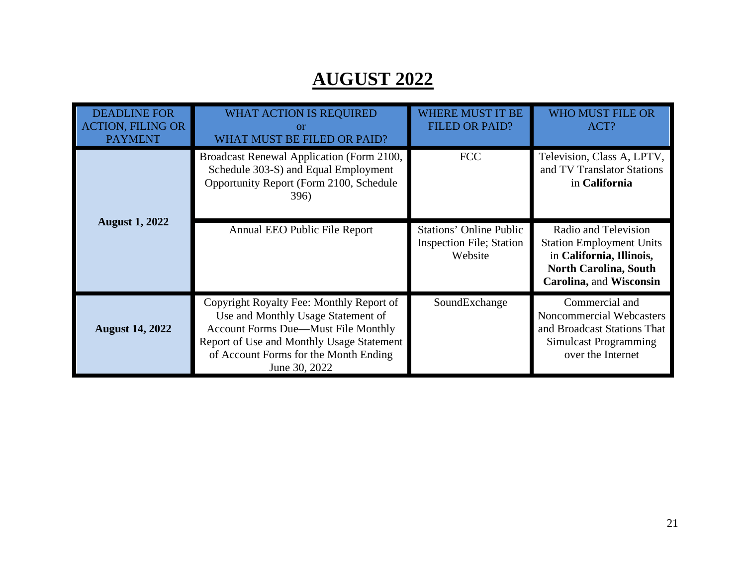## **AUGUST 2022**

| <b>DEADLINE FOR</b><br><b>ACTION, FILING OR</b><br><b>PAYMENT</b> | <b>WHAT ACTION IS REQUIRED</b><br>or<br>WHAT MUST BE FILED OR PAID?                                                                                                                                                          | WHERE MUST IT BE<br><b>FILED OR PAID?</b>                                     | <b>WHO MUST FILE OR</b><br>ACT?                                                                                                                       |
|-------------------------------------------------------------------|------------------------------------------------------------------------------------------------------------------------------------------------------------------------------------------------------------------------------|-------------------------------------------------------------------------------|-------------------------------------------------------------------------------------------------------------------------------------------------------|
|                                                                   | Broadcast Renewal Application (Form 2100,<br>Schedule 303-S) and Equal Employment<br>Opportunity Report (Form 2100, Schedule<br>396)                                                                                         | <b>FCC</b>                                                                    | Television, Class A, LPTV,<br>and TV Translator Stations<br>in California                                                                             |
| <b>August 1, 2022</b>                                             | Annual EEO Public File Report                                                                                                                                                                                                | <b>Stations' Online Public</b><br><b>Inspection File</b> ; Station<br>Website | Radio and Television<br><b>Station Employment Units</b><br>in California, Illinois,<br><b>North Carolina, South</b><br><b>Carolina, and Wisconsin</b> |
| <b>August 14, 2022</b>                                            | Copyright Royalty Fee: Monthly Report of<br>Use and Monthly Usage Statement of<br>Account Forms Due-Must File Monthly<br>Report of Use and Monthly Usage Statement<br>of Account Forms for the Month Ending<br>June 30, 2022 | SoundExchange                                                                 | Commercial and<br>Noncommercial Webcasters<br>and Broadcast Stations That<br>Simulcast Programming<br>over the Internet                               |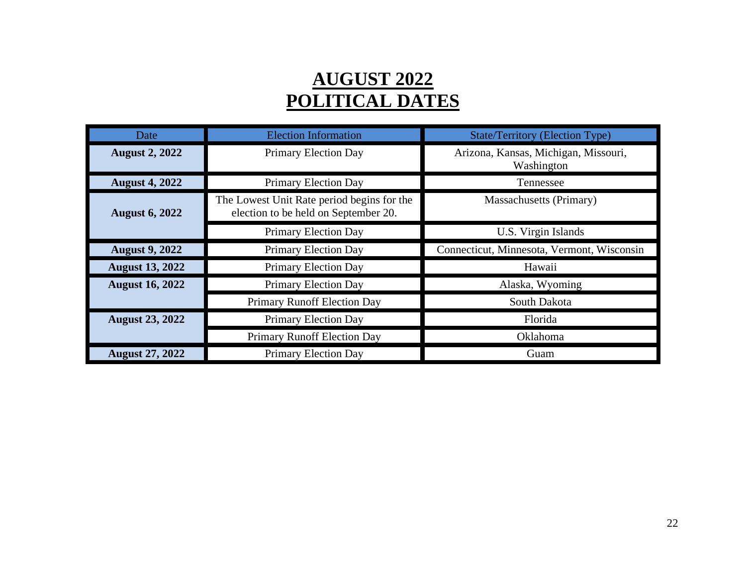### **AUGUST 2022 POLITICAL DATES**

| Date                   | <b>Election Information</b>                                                        | <b>State/Territory (Election Type)</b>             |
|------------------------|------------------------------------------------------------------------------------|----------------------------------------------------|
| <b>August 2, 2022</b>  | <b>Primary Election Day</b>                                                        | Arizona, Kansas, Michigan, Missouri,<br>Washington |
| <b>August 4, 2022</b>  | Primary Election Day                                                               | Tennessee                                          |
| <b>August 6, 2022</b>  | The Lowest Unit Rate period begins for the<br>election to be held on September 20. | Massachusetts (Primary)                            |
|                        | <b>Primary Election Day</b>                                                        | U.S. Virgin Islands                                |
| <b>August 9, 2022</b>  | <b>Primary Election Day</b>                                                        | Connecticut, Minnesota, Vermont, Wisconsin         |
| <b>August 13, 2022</b> | Primary Election Day                                                               | Hawaii                                             |
| <b>August 16, 2022</b> | Primary Election Day                                                               | Alaska, Wyoming                                    |
|                        | Primary Runoff Election Day                                                        | South Dakota                                       |
| <b>August 23, 2022</b> | Primary Election Day                                                               | Florida                                            |
|                        | Primary Runoff Election Day                                                        | Oklahoma                                           |
| <b>August 27, 2022</b> | <b>Primary Election Day</b>                                                        | Guam                                               |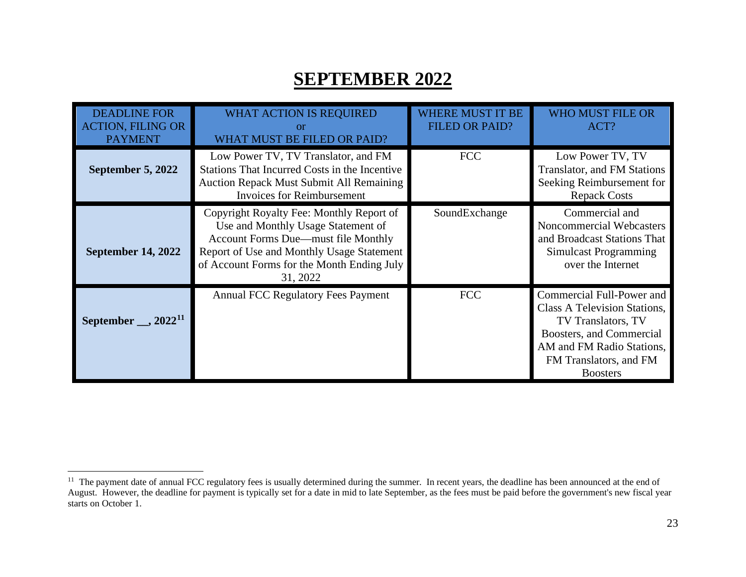### <span id="page-23-0"></span>**SEPTEMBER 2022**

| <b>DEADLINE FOR</b><br><b>ACTION, FILING OR</b><br><b>PAYMENT</b> | <b>WHAT ACTION IS REQUIRED</b><br>$\alpha$<br>WHAT MUST BE FILED OR PAID?                                                                                                                                                    | <b>WHERE MUST IT BE</b><br><b>FILED OR PAID?</b> | WHO MUST FILE OR<br>ACT?                                                                                                                                                                     |
|-------------------------------------------------------------------|------------------------------------------------------------------------------------------------------------------------------------------------------------------------------------------------------------------------------|--------------------------------------------------|----------------------------------------------------------------------------------------------------------------------------------------------------------------------------------------------|
| September 5, 2022                                                 | Low Power TV, TV Translator, and FM<br>Stations That Incurred Costs in the Incentive<br><b>Auction Repack Must Submit All Remaining</b><br><b>Invoices for Reimbursement</b>                                                 | <b>FCC</b>                                       | Low Power TV, TV<br><b>Translator, and FM Stations</b><br>Seeking Reimbursement for<br><b>Repack Costs</b>                                                                                   |
| <b>September 14, 2022</b>                                         | Copyright Royalty Fee: Monthly Report of<br>Use and Monthly Usage Statement of<br>Account Forms Due—must file Monthly<br>Report of Use and Monthly Usage Statement<br>of Account Forms for the Month Ending July<br>31, 2022 | SoundExchange                                    | Commercial and<br>Noncommercial Webcasters<br>and Broadcast Stations That<br><b>Simulcast Programming</b><br>over the Internet                                                               |
| September $\_\_$ , 2022 <sup>11</sup>                             | <b>Annual FCC Regulatory Fees Payment</b>                                                                                                                                                                                    | <b>FCC</b>                                       | Commercial Full-Power and<br><b>Class A Television Stations,</b><br>TV Translators, TV<br>Boosters, and Commercial<br>AM and FM Radio Stations.<br>FM Translators, and FM<br><b>Boosters</b> |

<sup>&</sup>lt;sup>11</sup> The payment date of annual FCC regulatory fees is usually determined during the summer. In recent years, the deadline has been announced at the end of August. However, the deadline for payment is typically set for a date in mid to late September, as the fees must be paid before the government's new fiscal year starts on October 1.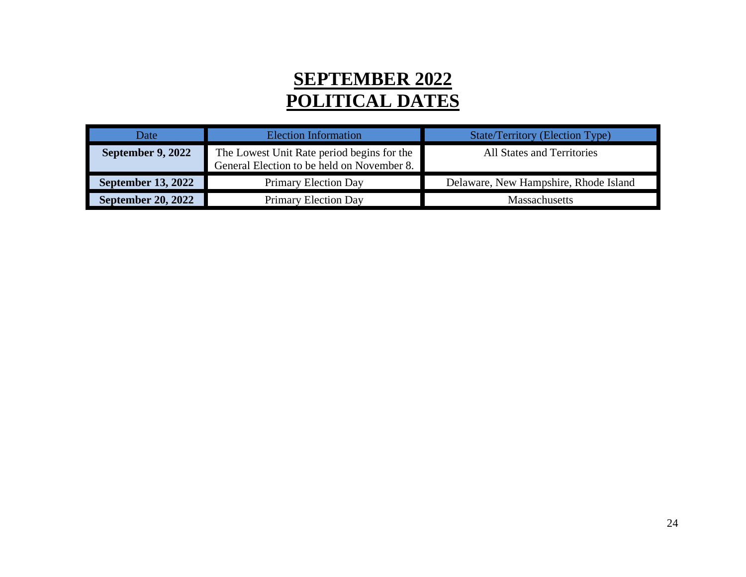### **SEPTEMBER 2022 POLITICAL DATES**

| Date                      | Election Information                                                                     | <b>State/Territory (Election Type)</b> |
|---------------------------|------------------------------------------------------------------------------------------|----------------------------------------|
| September 9, 2022         | The Lowest Unit Rate period begins for the<br>General Election to be held on November 8. | <b>All States and Territories</b>      |
| September 13, 2022        | <b>Primary Election Day</b>                                                              | Delaware, New Hampshire, Rhode Island  |
| <b>September 20, 2022</b> | <b>Primary Election Day</b>                                                              | <b>Massachusetts</b>                   |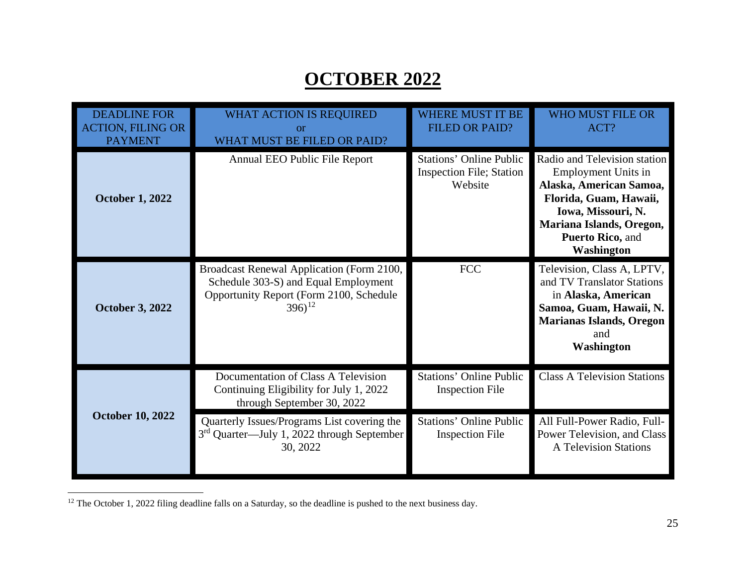### <span id="page-25-0"></span>**OCTOBER 2022**

| <b>DEADLINE FOR</b><br><b>ACTION, FILING OR</b><br><b>PAYMENT</b> | <b>WHAT ACTION IS REQUIRED</b><br><b>or</b><br>WHAT MUST BE FILED OR PAID?                                                                   | <b>WHERE MUST IT BE</b><br><b>FILED OR PAID?</b>                             | <b>WHO MUST FILE OR</b><br>ACT?                                                                                                                                                                            |
|-------------------------------------------------------------------|----------------------------------------------------------------------------------------------------------------------------------------------|------------------------------------------------------------------------------|------------------------------------------------------------------------------------------------------------------------------------------------------------------------------------------------------------|
| <b>October 1, 2022</b>                                            | Annual EEO Public File Report                                                                                                                | <b>Stations' Online Public</b><br><b>Inspection File; Station</b><br>Website | Radio and Television station<br><b>Employment Units in</b><br>Alaska, American Samoa,<br>Florida, Guam, Hawaii,<br>Iowa, Missouri, N.<br>Mariana Islands, Oregon,<br>Puerto Rico, and<br><b>Washington</b> |
| <b>October 3, 2022</b>                                            | Broadcast Renewal Application (Form 2100,<br>Schedule 303-S) and Equal Employment<br>Opportunity Report (Form 2100, Schedule<br>$(396)^{12}$ | <b>FCC</b>                                                                   | Television, Class A, LPTV,<br>and TV Translator Stations<br>in Alaska, American<br>Samoa, Guam, Hawaii, N.<br><b>Marianas Islands, Oregon</b><br>and<br><b>Washington</b>                                  |
|                                                                   | Documentation of Class A Television<br>Continuing Eligibility for July 1, 2022<br>through September 30, 2022                                 | <b>Stations' Online Public</b><br><b>Inspection File</b>                     | <b>Class A Television Stations</b>                                                                                                                                                                         |
| <b>October 10, 2022</b>                                           | Quarterly Issues/Programs List covering the<br>3 <sup>rd</sup> Quarter—July 1, 2022 through September<br>30, 2022                            | <b>Stations' Online Public</b><br><b>Inspection File</b>                     | All Full-Power Radio, Full-<br>Power Television, and Class<br><b>A Television Stations</b>                                                                                                                 |

<sup>12</sup> The October 1, 2022 filing deadline falls on a Saturday, so the deadline is pushed to the next business day.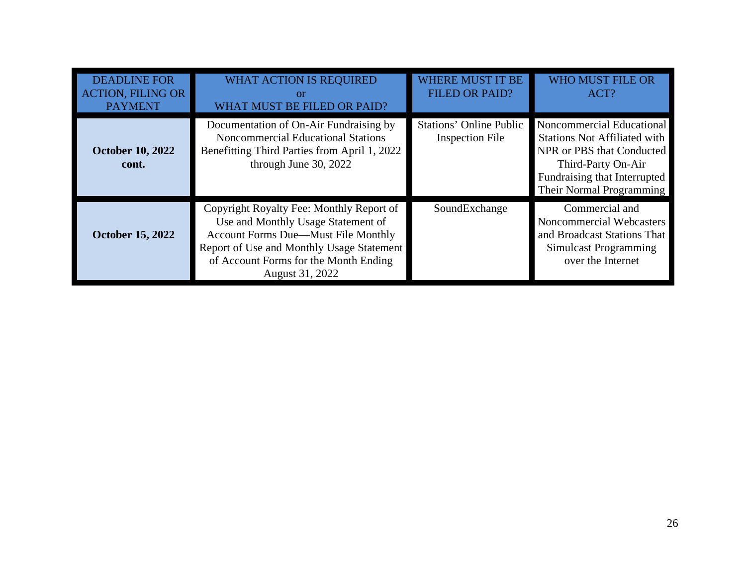| <b>DEADLINE FOR</b><br><b>ACTION, FILING OR</b><br><b>PAYMENT</b> | <b>WHAT ACTION IS REQUIRED</b><br>$\alpha$<br>WHAT MUST BE FILED OR PAID?                                                                                                                                                             | <b>WHERE MUST IT BE</b><br><b>FILED OR PAID?</b>         | <b>WHO MUST FILE OR</b><br>ACT?                                                                                                                                                 |
|-------------------------------------------------------------------|---------------------------------------------------------------------------------------------------------------------------------------------------------------------------------------------------------------------------------------|----------------------------------------------------------|---------------------------------------------------------------------------------------------------------------------------------------------------------------------------------|
| <b>October 10, 2022</b><br>cont.                                  | Documentation of On-Air Fundraising by<br><b>Noncommercial Educational Stations</b><br>Benefitting Third Parties from April 1, 2022<br>through June 30, 2022                                                                          | <b>Stations' Online Public</b><br><b>Inspection File</b> | Noncommercial Educational<br><b>Stations Not Affiliated with</b><br>NPR or PBS that Conducted<br>Third-Party On-Air<br>Fundraising that Interrupted<br>Their Normal Programming |
| <b>October 15, 2022</b>                                           | Copyright Royalty Fee: Monthly Report of<br>Use and Monthly Usage Statement of<br><b>Account Forms Due—Must File Monthly</b><br>Report of Use and Monthly Usage Statement<br>of Account Forms for the Month Ending<br>August 31, 2022 | SoundExchange                                            | Commercial and<br>Noncommercial Webcasters<br>and Broadcast Stations That<br>Simulcast Programming<br>over the Internet                                                         |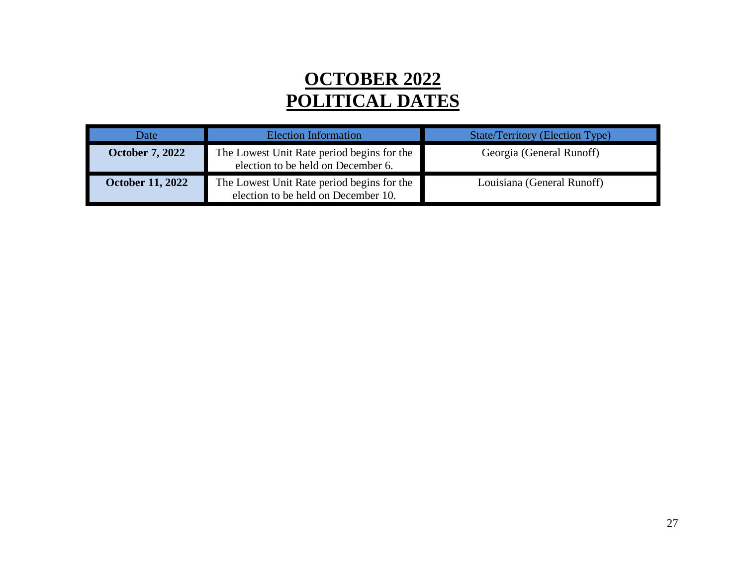### **OCTOBER 2022 POLITICAL DATES**

| Date                    | Election Information                                                              | State/Territory (Election Type) |
|-------------------------|-----------------------------------------------------------------------------------|---------------------------------|
| <b>October 7, 2022</b>  | The Lowest Unit Rate period begins for the<br>election to be held on December 6.  | Georgia (General Runoff)        |
| <b>October 11, 2022</b> | The Lowest Unit Rate period begins for the<br>election to be held on December 10. | Louisiana (General Runoff)      |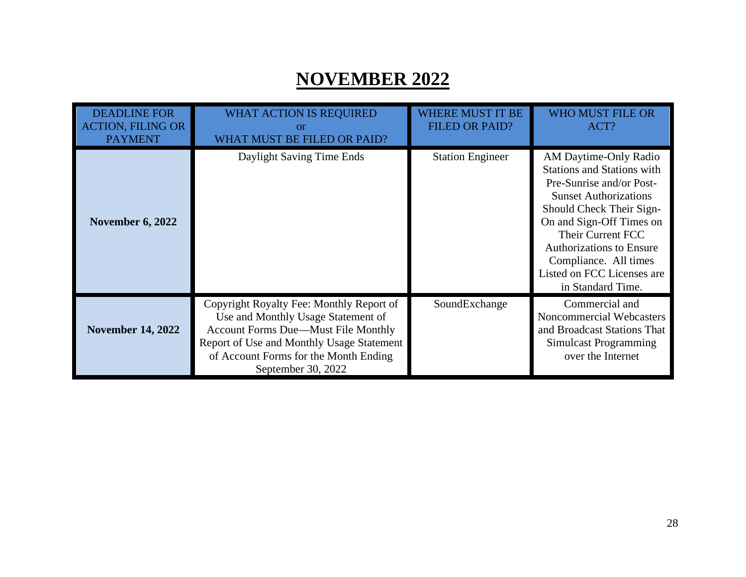### **NOVEMBER 2022**

| <b>DEADLINE FOR</b><br><b>ACTION, FILING OR</b><br><b>PAYMENT</b> | <b>WHAT ACTION IS REQUIRED</b><br>or<br>WHAT MUST BE FILED OR PAID?                                                                                                                                                                      | <b>WHERE MUST IT BE</b><br><b>FILED OR PAID?</b> | <b>WHO MUST FILE OR</b><br>ACT?                                                                                                                                                                                                                                                                                    |
|-------------------------------------------------------------------|------------------------------------------------------------------------------------------------------------------------------------------------------------------------------------------------------------------------------------------|--------------------------------------------------|--------------------------------------------------------------------------------------------------------------------------------------------------------------------------------------------------------------------------------------------------------------------------------------------------------------------|
| <b>November 6, 2022</b>                                           | Daylight Saving Time Ends                                                                                                                                                                                                                | <b>Station Engineer</b>                          | AM Daytime-Only Radio<br><b>Stations and Stations with</b><br>Pre-Sunrise and/or Post-<br><b>Sunset Authorizations</b><br>Should Check Their Sign-<br>On and Sign-Off Times on<br>Their Current FCC<br><b>Authorizations to Ensure</b><br>Compliance. All times<br>Listed on FCC Licenses are<br>in Standard Time. |
| <b>November 14, 2022</b>                                          | Copyright Royalty Fee: Monthly Report of<br>Use and Monthly Usage Statement of<br><b>Account Forms Due—Must File Monthly</b><br>Report of Use and Monthly Usage Statement<br>of Account Forms for the Month Ending<br>September 30, 2022 | SoundExchange                                    | Commercial and<br>Noncommercial Webcasters<br>and Broadcast Stations That<br>Simulcast Programming<br>over the Internet                                                                                                                                                                                            |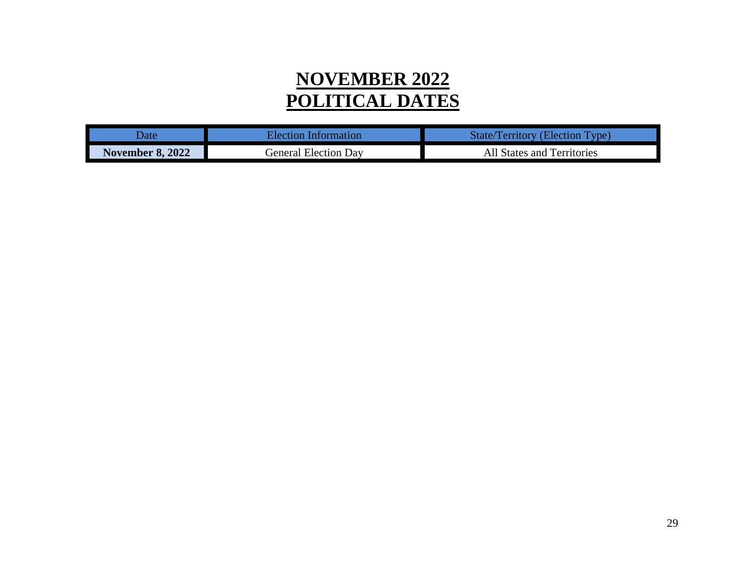### **NOVEMBER 2022 POLITICAL DATES**

| )ate                    | Election Information | <b>State/Territory (Election Type)</b> |
|-------------------------|----------------------|----------------------------------------|
| <b>November 8, 2022</b> | General Election Dav | All States and Territories             |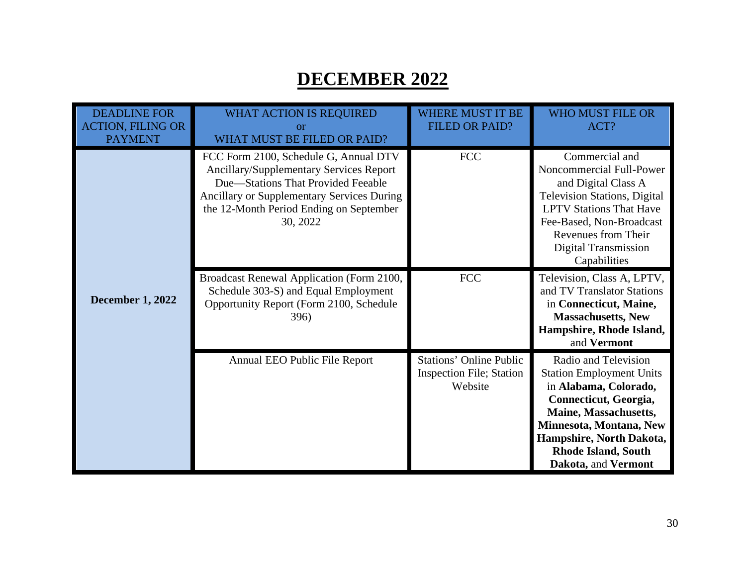### **DECEMBER 2022**

| <b>DEADLINE FOR</b><br><b>ACTION, FILING OR</b><br><b>PAYMENT</b> | <b>WHAT ACTION IS REQUIRED</b><br>or<br><b>WHAT MUST BE FILED OR PAID?</b>                                                                                                                                                         | <b>WHERE MUST IT BE</b><br><b>FILED OR PAID?</b>                             | <b>WHO MUST FILE OR</b><br>ACT?                                                                                                                                                                                                                |
|-------------------------------------------------------------------|------------------------------------------------------------------------------------------------------------------------------------------------------------------------------------------------------------------------------------|------------------------------------------------------------------------------|------------------------------------------------------------------------------------------------------------------------------------------------------------------------------------------------------------------------------------------------|
|                                                                   | FCC Form 2100, Schedule G, Annual DTV<br><b>Ancillary/Supplementary Services Report</b><br>Due—Stations That Provided Feeable<br>Ancillary or Supplementary Services During<br>the 12-Month Period Ending on September<br>30, 2022 | $\rm FCC$                                                                    | Commercial and<br>Noncommercial Full-Power<br>and Digital Class A<br><b>Television Stations, Digital</b><br><b>LPTV Stations That Have</b><br>Fee-Based, Non-Broadcast<br>Revenues from Their<br>Digital Transmission<br>Capabilities          |
| <b>December 1, 2022</b>                                           | Broadcast Renewal Application (Form 2100,<br>Schedule 303-S) and Equal Employment<br>Opportunity Report (Form 2100, Schedule<br><b>396</b> )                                                                                       | <b>FCC</b>                                                                   | Television, Class A, LPTV,<br>and TV Translator Stations<br>in Connecticut, Maine,<br><b>Massachusetts, New</b><br>Hampshire, Rhode Island,<br>and Vermont                                                                                     |
|                                                                   | Annual EEO Public File Report                                                                                                                                                                                                      | <b>Stations' Online Public</b><br><b>Inspection File; Station</b><br>Website | Radio and Television<br><b>Station Employment Units</b><br>in Alabama, Colorado,<br>Connecticut, Georgia,<br>Maine, Massachusetts,<br>Minnesota, Montana, New<br>Hampshire, North Dakota,<br><b>Rhode Island, South</b><br>Dakota, and Vermont |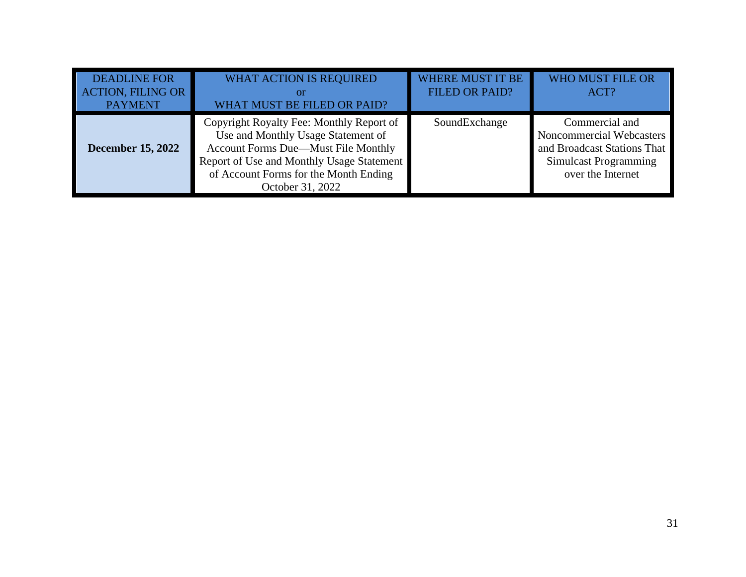| <b>DEADLINE FOR</b><br><b>ACTION, FILING OR</b><br><b>PAYMENT</b> | <b>WHAT ACTION IS REQUIRED</b><br><sup>or</sup><br>WHAT MUST BE FILED OR PAID?                                                                                                                                                         | <b>WHERE MUST IT BE</b><br><b>FILED OR PAID?</b> | <b>WHO MUST FILE OR</b><br>ACT?                                                                                                |
|-------------------------------------------------------------------|----------------------------------------------------------------------------------------------------------------------------------------------------------------------------------------------------------------------------------------|--------------------------------------------------|--------------------------------------------------------------------------------------------------------------------------------|
| <b>December 15, 2022</b>                                          | Copyright Royalty Fee: Monthly Report of<br>Use and Monthly Usage Statement of<br><b>Account Forms Due—Must File Monthly</b><br>Report of Use and Monthly Usage Statement<br>of Account Forms for the Month Ending<br>October 31, 2022 | SoundExchange                                    | Commercial and<br>Noncommercial Webcasters<br>and Broadcast Stations That<br><b>Simulcast Programming</b><br>over the Internet |